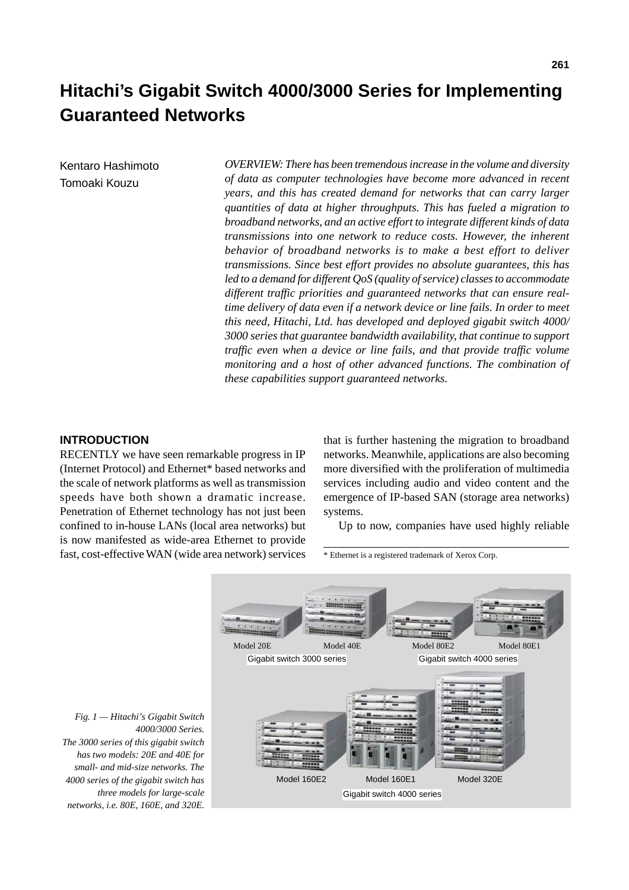# **Hitachi's Gigabit Switch 4000/3000 Series for Implementing Guaranteed Networks**

Kentaro Hashimoto Tomoaki Kouzu

*OVERVIEW: There has been tremendous increase in the volume and diversity of data as computer technologies have become more advanced in recent years, and this has created demand for networks that can carry larger quantities of data at higher throughputs. This has fueled a migration to broadband networks, and an active effort to integrate different kinds of data transmissions into one network to reduce costs. However, the inherent behavior of broadband networks is to make a best effort to deliver transmissions. Since best effort provides no absolute guarantees, this has led to a demand for different QoS (quality of service) classes to accommodate different traffic priorities and guaranteed networks that can ensure realtime delivery of data even if a network device or line fails. In order to meet this need, Hitachi, Ltd. has developed and deployed gigabit switch 4000/ 3000 series that guarantee bandwidth availability, that continue to support traffic even when a device or line fails, and that provide traffic volume monitoring and a host of other advanced functions. The combination of these capabilities support guaranteed networks.*

### **INTRODUCTION**

RECENTLY we have seen remarkable progress in IP (Internet Protocol) and Ethernet\* based networks and the scale of network platforms as well as transmission speeds have both shown a dramatic increase. Penetration of Ethernet technology has not just been confined to in-house LANs (local area networks) but is now manifested as wide-area Ethernet to provide fast, cost-effective WAN (wide area network) services that is further hastening the migration to broadband networks. Meanwhile, applications are also becoming more diversified with the proliferation of multimedia services including audio and video content and the emergence of IP-based SAN (storage area networks) systems.

Up to now, companies have used highly reliable

\* Ethernet is a registered trademark of Xerox Corp.



 *Fig. 1 — Hitachi's Gigabit Switch 4000/3000 Series. The 3000 series of this gigabit switch has two models: 20E and 40E for small- and mid-size networks. The 4000 series of the gigabit switch has three models for large-scale networks, i.e. 80E, 160E, and 320E.*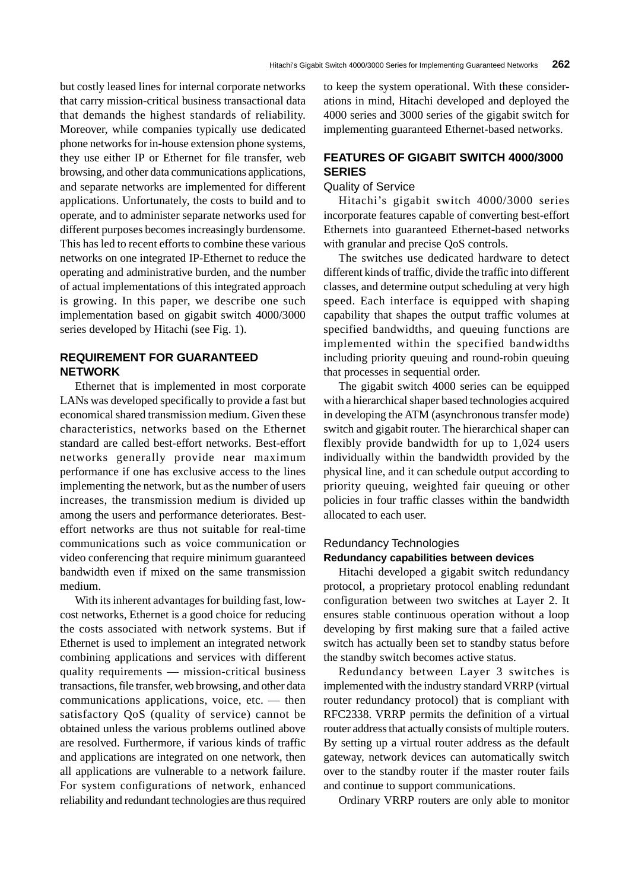but costly leased lines for internal corporate networks that carry mission-critical business transactional data that demands the highest standards of reliability. Moreover, while companies typically use dedicated phone networks for in-house extension phone systems, they use either IP or Ethernet for file transfer, web browsing, and other data communications applications, and separate networks are implemented for different applications. Unfortunately, the costs to build and to operate, and to administer separate networks used for different purposes becomes increasingly burdensome. This has led to recent efforts to combine these various networks on one integrated IP-Ethernet to reduce the operating and administrative burden, and the number of actual implementations of this integrated approach is growing. In this paper, we describe one such implementation based on gigabit switch 4000/3000 series developed by Hitachi (see Fig. 1).

## **REQUIREMENT FOR GUARANTEED NETWORK**

Ethernet that is implemented in most corporate LANs was developed specifically to provide a fast but economical shared transmission medium. Given these characteristics, networks based on the Ethernet standard are called best-effort networks. Best-effort networks generally provide near maximum performance if one has exclusive access to the lines implementing the network, but as the number of users increases, the transmission medium is divided up among the users and performance deteriorates. Besteffort networks are thus not suitable for real-time communications such as voice communication or video conferencing that require minimum guaranteed bandwidth even if mixed on the same transmission medium.

With its inherent advantages for building fast, lowcost networks, Ethernet is a good choice for reducing the costs associated with network systems. But if Ethernet is used to implement an integrated network combining applications and services with different quality requirements — mission-critical business transactions, file transfer, web browsing, and other data communications applications, voice, etc. — then satisfactory QoS (quality of service) cannot be obtained unless the various problems outlined above are resolved. Furthermore, if various kinds of traffic and applications are integrated on one network, then all applications are vulnerable to a network failure. For system configurations of network, enhanced reliability and redundant technologies are thus required to keep the system operational. With these considerations in mind, Hitachi developed and deployed the 4000 series and 3000 series of the gigabit switch for implementing guaranteed Ethernet-based networks.

# **FEATURES OF GIGABIT SWITCH 4000/3000 SERIES**

#### Quality of Service

Hitachi's gigabit switch 4000/3000 series incorporate features capable of converting best-effort Ethernets into guaranteed Ethernet-based networks with granular and precise QoS controls.

The switches use dedicated hardware to detect different kinds of traffic, divide the traffic into different classes, and determine output scheduling at very high speed. Each interface is equipped with shaping capability that shapes the output traffic volumes at specified bandwidths, and queuing functions are implemented within the specified bandwidths including priority queuing and round-robin queuing that processes in sequential order.

The gigabit switch 4000 series can be equipped with a hierarchical shaper based technologies acquired in developing the ATM (asynchronous transfer mode) switch and gigabit router. The hierarchical shaper can flexibly provide bandwidth for up to 1,024 users individually within the bandwidth provided by the physical line, and it can schedule output according to priority queuing, weighted fair queuing or other policies in four traffic classes within the bandwidth allocated to each user.

## Redundancy Technologies **Redundancy capabilities between devices**

Hitachi developed a gigabit switch redundancy protocol, a proprietary protocol enabling redundant configuration between two switches at Layer 2. It ensures stable continuous operation without a loop developing by first making sure that a failed active switch has actually been set to standby status before the standby switch becomes active status.

Redundancy between Layer 3 switches is implemented with the industry standard VRRP (virtual router redundancy protocol) that is compliant with RFC2338. VRRP permits the definition of a virtual router address that actually consists of multiple routers. By setting up a virtual router address as the default gateway, network devices can automatically switch over to the standby router if the master router fails and continue to support communications.

Ordinary VRRP routers are only able to monitor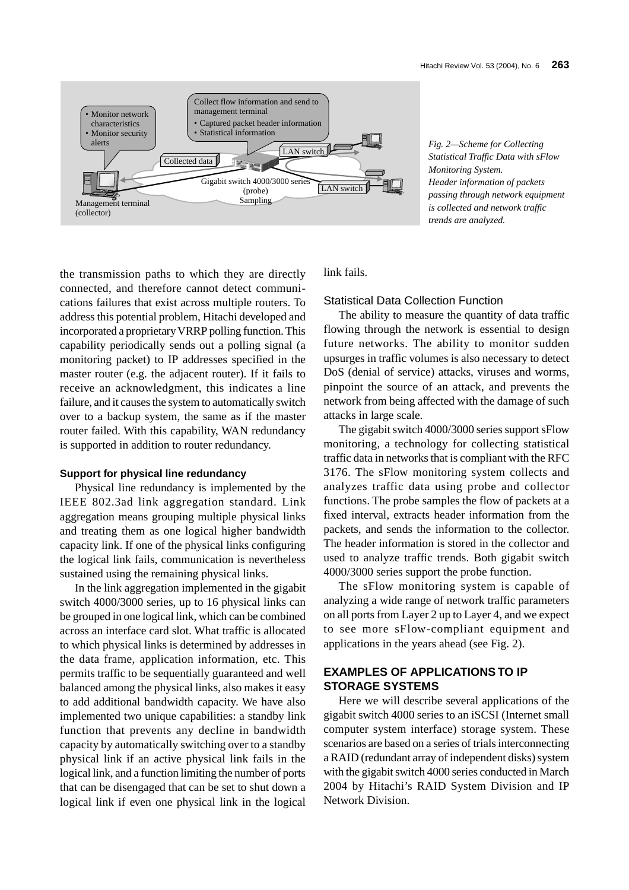

*Fig. 2—Scheme for Collecting Statistical Traffic Data with sFlow Monitoring System. Header information of packets passing through network equipment is collected and network traffic trends are analyzed.*

the transmission paths to which they are directly connected, and therefore cannot detect communications failures that exist across multiple routers. To address this potential problem, Hitachi developed and incorporated a proprietary VRRP polling function. This capability periodically sends out a polling signal (a monitoring packet) to IP addresses specified in the master router (e.g. the adjacent router). If it fails to receive an acknowledgment, this indicates a line failure, and it causes the system to automatically switch over to a backup system, the same as if the master router failed. With this capability, WAN redundancy is supported in addition to router redundancy.

#### **Support for physical line redundancy**

Physical line redundancy is implemented by the IEEE 802.3ad link aggregation standard. Link aggregation means grouping multiple physical links and treating them as one logical higher bandwidth capacity link. If one of the physical links configuring the logical link fails, communication is nevertheless sustained using the remaining physical links.

In the link aggregation implemented in the gigabit switch 4000/3000 series, up to 16 physical links can be grouped in one logical link, which can be combined across an interface card slot. What traffic is allocated to which physical links is determined by addresses in the data frame, application information, etc. This permits traffic to be sequentially guaranteed and well balanced among the physical links, also makes it easy to add additional bandwidth capacity. We have also implemented two unique capabilities: a standby link function that prevents any decline in bandwidth capacity by automatically switching over to a standby physical link if an active physical link fails in the logical link, and a function limiting the number of ports that can be disengaged that can be set to shut down a logical link if even one physical link in the logical link fails.

Statistical Data Collection Function

The ability to measure the quantity of data traffic flowing through the network is essential to design future networks. The ability to monitor sudden upsurges in traffic volumes is also necessary to detect DoS (denial of service) attacks, viruses and worms, pinpoint the source of an attack, and prevents the network from being affected with the damage of such attacks in large scale.

The gigabit switch 4000/3000 series support sFlow monitoring, a technology for collecting statistical traffic data in networks that is compliant with the RFC 3176. The sFlow monitoring system collects and analyzes traffic data using probe and collector functions. The probe samples the flow of packets at a fixed interval, extracts header information from the packets, and sends the information to the collector. The header information is stored in the collector and used to analyze traffic trends. Both gigabit switch 4000/3000 series support the probe function.

The sFlow monitoring system is capable of analyzing a wide range of network traffic parameters on all ports from Layer 2 up to Layer 4, and we expect to see more sFlow-compliant equipment and applications in the years ahead (see Fig. 2).

## **EXAMPLES OF APPLICATIONS TO IP STORAGE SYSTEMS**

Here we will describe several applications of the gigabit switch 4000 series to an iSCSI (Internet small computer system interface) storage system. These scenarios are based on a series of trials interconnecting a RAID (redundant array of independent disks) system with the gigabit switch 4000 series conducted in March 2004 by Hitachi's RAID System Division and IP Network Division.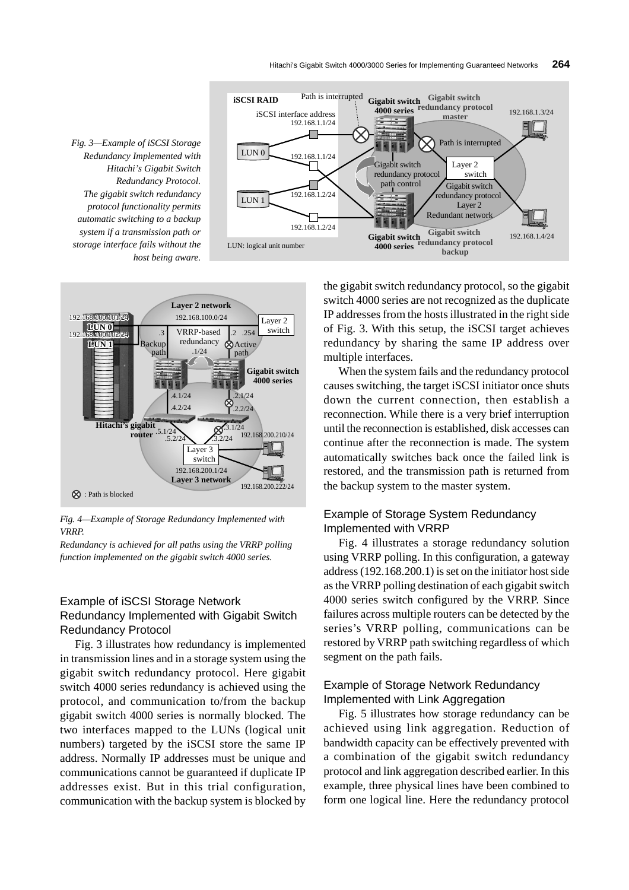





*Fig. 4—Example of Storage Redundancy Implemented with VRRP.*

*Redundancy is achieved for all paths using the VRRP polling function implemented on the gigabit switch 4000 series.*

## Example of iSCSI Storage Network Redundancy Implemented with Gigabit Switch Redundancy Protocol

Fig. 3 illustrates how redundancy is implemented in transmission lines and in a storage system using the gigabit switch redundancy protocol. Here gigabit switch 4000 series redundancy is achieved using the protocol, and communication to/from the backup gigabit switch 4000 series is normally blocked. The two interfaces mapped to the LUNs (logical unit numbers) targeted by the iSCSI store the same IP address. Normally IP addresses must be unique and communications cannot be guaranteed if duplicate IP addresses exist. But in this trial configuration, communication with the backup system is blocked by the gigabit switch redundancy protocol, so the gigabit switch 4000 series are not recognized as the duplicate IP addresses from the hosts illustrated in the right side of Fig. 3. With this setup, the iSCSI target achieves redundancy by sharing the same IP address over multiple interfaces.

When the system fails and the redundancy protocol causes switching, the target iSCSI initiator once shuts down the current connection, then establish a reconnection. While there is a very brief interruption until the reconnection is established, disk accesses can continue after the reconnection is made. The system automatically switches back once the failed link is restored, and the transmission path is returned from the backup system to the master system.

# Example of Storage System Redundancy Implemented with VRRP

Fig. 4 illustrates a storage redundancy solution using VRRP polling. In this configuration, a gateway address (192.168.200.1) is set on the initiator host side as the VRRP polling destination of each gigabit switch 4000 series switch configured by the VRRP. Since failures across multiple routers can be detected by the series's VRRP polling, communications can be restored by VRRP path switching regardless of which segment on the path fails.

## Example of Storage Network Redundancy Implemented with Link Aggregation

Fig. 5 illustrates how storage redundancy can be achieved using link aggregation. Reduction of bandwidth capacity can be effectively prevented with a combination of the gigabit switch redundancy protocol and link aggregation described earlier. In this example, three physical lines have been combined to form one logical line. Here the redundancy protocol